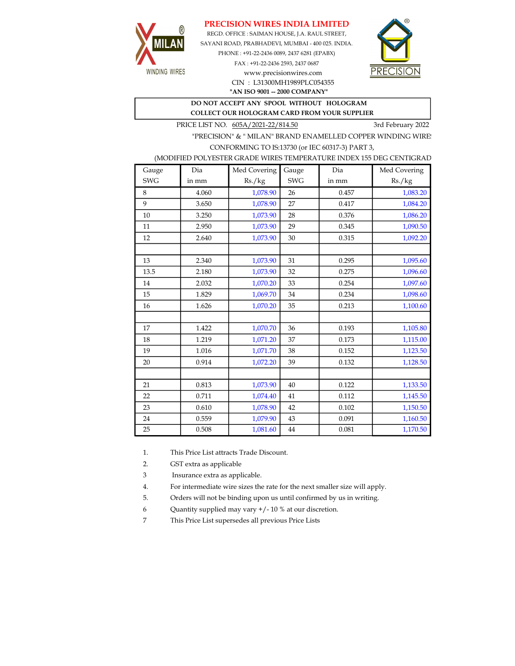# PRECISION WIRES INDIA LIMITED



REGD. OFFICE : SAIMAN HOUSE, J.A. RAUL STREET, SAYANI ROAD, PRABHADEVI, MUMBAI - 400 025. INDIA. PHONE : +91-22-2436 0089, 2437 6281 (EPABX)

> FAX : +91-22-2436 2593, 2437 0687 www.precisionwires.com CIN : L31300MH1989PLC054355



"AN ISO 9001 -- 2000 COMPANY"

#### DO NOT ACCEPT ANY SPOOL WITHOUT HOLOGRAM COLLECT OUR HOLOGRAM CARD FROM YOUR SUPPLIER

PRICE LIST NO.  $605A/2021-22/814.50$  3rd February 2022

"PRECISION" & " MILAN" BRAND ENAMELLED COPPER WINDING WIRE CONFORMING TO IS:13730 (or IEC 60317-3) PART 3,

### (MODIFIED POLYESTER GRADE WIRES TEMPERATURE INDEX 155 DEG CENTIGRAD

| Gauge      | Dia   | Med Covering | Gauge      | Dia   | Med Covering |
|------------|-------|--------------|------------|-------|--------------|
| <b>SWG</b> | in mm | Rs./kg       | <b>SWG</b> | in mm | Rs./kg       |
| 8          | 4.060 | 1,078.90     | 26         | 0.457 | 1,083.20     |
| 9          | 3.650 | 1,078.90     | 27         | 0.417 | 1,084.20     |
| 10         | 3.250 | 1,073.90     | 28         | 0.376 | 1,086.20     |
| 11         | 2.950 | 1,073.90     | 29         | 0.345 | 1,090.50     |
| 12         | 2.640 | 1,073.90     | 30         | 0.315 | 1,092.20     |
|            |       |              |            |       |              |
| 13         | 2.340 | 1,073.90     | 31         | 0.295 | 1,095.60     |
| 13.5       | 2.180 | 1,073.90     | 32         | 0.275 | 1,096.60     |
| 14         | 2.032 | 1,070.20     | 33         | 0.254 | 1,097.60     |
| 15         | 1.829 | 1,069.70     | 34         | 0.234 | 1,098.60     |
| 16         | 1.626 | 1,070.20     | 35         | 0.213 | 1,100.60     |
|            |       |              |            |       |              |
| 17         | 1.422 | 1,070.70     | 36         | 0.193 | 1,105.80     |
| 18         | 1.219 | 1,071.20     | 37         | 0.173 | 1,115.00     |
| 19         | 1.016 | 1,071.70     | 38         | 0.152 | 1,123.50     |
| 20         | 0.914 | 1,072.20     | 39         | 0.132 | 1,128.50     |
|            |       |              |            |       |              |
| 21         | 0.813 | 1,073.90     | 40         | 0.122 | 1,133.50     |
| 22         | 0.711 | 1,074.40     | 41         | 0.112 | 1,145.50     |
| 23         | 0.610 | 1,078.90     | 42         | 0.102 | 1,150.50     |
| 24         | 0.559 | 1,079.90     | 43         | 0.091 | 1,160.50     |
| 25         | 0.508 | 1,081.60     | 44         | 0.081 | 1,170.50     |

1. This Price List attracts Trade Discount.

2. GST extra as applicable

3 Insurance extra as applicable.

4. For intermediate wire sizes the rate for the next smaller size will apply.

5. Orders will not be binding upon us until confirmed by us in writing.

6 Quantity supplied may vary +/- 10 % at our discretion.

7 This Price List supersedes all previous Price Lists